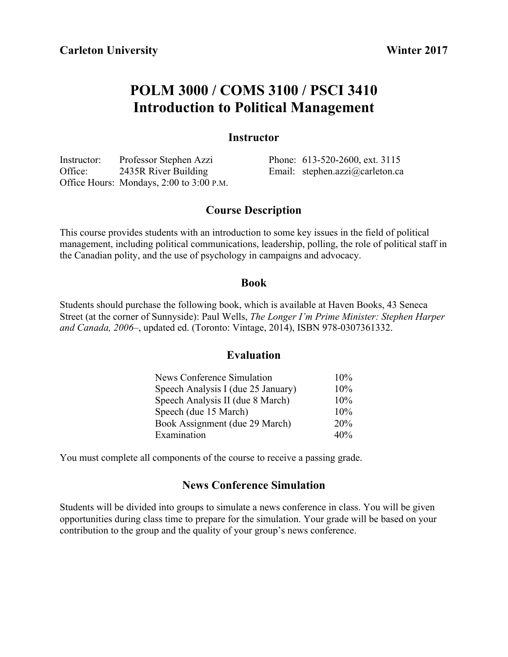# **POLM 3000 / COMS 3100 / PSCI 3410 Introduction to Political Management**

# **Instructor**

Instructor: Professor Stephen Azzi Office: 2435R River Building Office Hours: Mondays, 2:00 to 3:00 P.M.

Phone: 613-520-2600, ext. 3115 Email: stephen.azzi@carleton.ca

# **Course Description**

This course provides students with an introduction to some key issues in the field of political management, including political communications, leadership, polling, the role of political staff in the Canadian polity, and the use of psychology in campaigns and advocacy.

# **Book**

Students should purchase the following book, which is available at Haven Books, 43 Seneca Street (at the corner of Sunnyside): Paul Wells, *The Longer I'm Prime Minister: Stephen Harper and Canada, 2006–*, updated ed. (Toronto: Vintage, 2014), ISBN 978-0307361332.

# **Evaluation**

| News Conference Simulation         | 10% |
|------------------------------------|-----|
| Speech Analysis I (due 25 January) | 10% |
| Speech Analysis II (due 8 March)   | 10% |
| Speech (due 15 March)              | 10% |
| Book Assignment (due 29 March)     | 20% |
| Examination                        | 40% |

You must complete all components of the course to receive a passing grade.

# **News Conference Simulation**

Students will be divided into groups to simulate a news conference in class. You will be given opportunities during class time to prepare for the simulation. Your grade will be based on your contribution to the group and the quality of your group's news conference.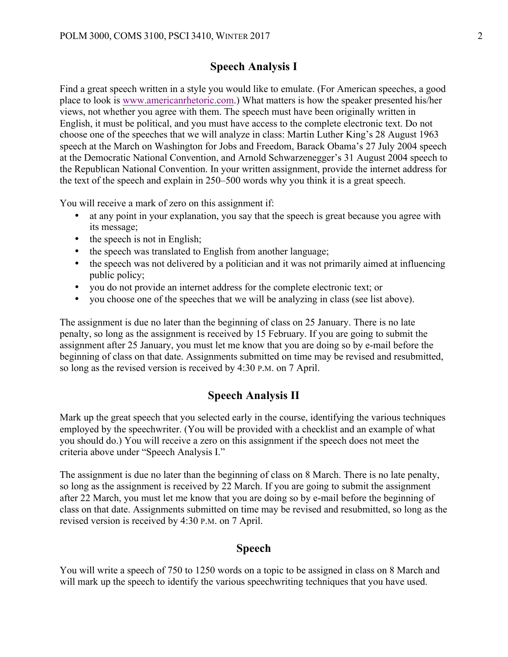# **Speech Analysis I**

Find a great speech written in a style you would like to emulate. (For American speeches, a good place to look is www.americanrhetoric.com.) What matters is how the speaker presented his/her views, not whether you agree with them. The speech must have been originally written in English, it must be political, and you must have access to the complete electronic text. Do not choose one of the speeches that we will analyze in class: Martin Luther King's 28 August 1963 speech at the March on Washington for Jobs and Freedom, Barack Obama's 27 July 2004 speech at the Democratic National Convention, and Arnold Schwarzenegger's 31 August 2004 speech to the Republican National Convention. In your written assignment, provide the internet address for the text of the speech and explain in 250–500 words why you think it is a great speech.

You will receive a mark of zero on this assignment if:

- at any point in your explanation, you say that the speech is great because you agree with its message;
- the speech is not in English;
- the speech was translated to English from another language;
- the speech was not delivered by a politician and it was not primarily aimed at influencing public policy;
- you do not provide an internet address for the complete electronic text; or
- you choose one of the speeches that we will be analyzing in class (see list above).

The assignment is due no later than the beginning of class on 25 January. There is no late penalty, so long as the assignment is received by 15 February. If you are going to submit the assignment after 25 January, you must let me know that you are doing so by e-mail before the beginning of class on that date. Assignments submitted on time may be revised and resubmitted, so long as the revised version is received by 4:30 P.M. on 7 April.

# **Speech Analysis II**

Mark up the great speech that you selected early in the course, identifying the various techniques employed by the speechwriter. (You will be provided with a checklist and an example of what you should do.) You will receive a zero on this assignment if the speech does not meet the criteria above under "Speech Analysis I."

The assignment is due no later than the beginning of class on 8 March. There is no late penalty, so long as the assignment is received by 22 March. If you are going to submit the assignment after 22 March, you must let me know that you are doing so by e-mail before the beginning of class on that date. Assignments submitted on time may be revised and resubmitted, so long as the revised version is received by 4:30 P.M. on 7 April.

### **Speech**

You will write a speech of 750 to 1250 words on a topic to be assigned in class on 8 March and will mark up the speech to identify the various speechwriting techniques that you have used.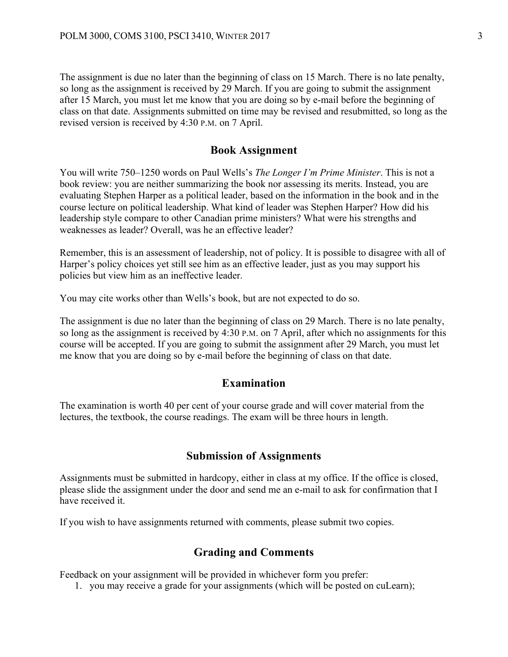The assignment is due no later than the beginning of class on 15 March. There is no late penalty, so long as the assignment is received by 29 March. If you are going to submit the assignment after 15 March, you must let me know that you are doing so by e-mail before the beginning of class on that date. Assignments submitted on time may be revised and resubmitted, so long as the revised version is received by 4:30 P.M. on 7 April.

# **Book Assignment**

You will write 750–1250 words on Paul Wells's *The Longer I'm Prime Minister*. This is not a book review: you are neither summarizing the book nor assessing its merits. Instead, you are evaluating Stephen Harper as a political leader, based on the information in the book and in the course lecture on political leadership. What kind of leader was Stephen Harper? How did his leadership style compare to other Canadian prime ministers? What were his strengths and weaknesses as leader? Overall, was he an effective leader?

Remember, this is an assessment of leadership, not of policy. It is possible to disagree with all of Harper's policy choices yet still see him as an effective leader, just as you may support his policies but view him as an ineffective leader.

You may cite works other than Wells's book, but are not expected to do so.

The assignment is due no later than the beginning of class on 29 March. There is no late penalty, so long as the assignment is received by 4:30 P.M. on 7 April, after which no assignments for this course will be accepted. If you are going to submit the assignment after 29 March, you must let me know that you are doing so by e-mail before the beginning of class on that date.

### **Examination**

The examination is worth 40 per cent of your course grade and will cover material from the lectures, the textbook, the course readings. The exam will be three hours in length.

#### **Submission of Assignments**

Assignments must be submitted in hardcopy, either in class at my office. If the office is closed, please slide the assignment under the door and send me an e-mail to ask for confirmation that I have received it.

If you wish to have assignments returned with comments, please submit two copies.

# **Grading and Comments**

Feedback on your assignment will be provided in whichever form you prefer:

1. you may receive a grade for your assignments (which will be posted on cuLearn);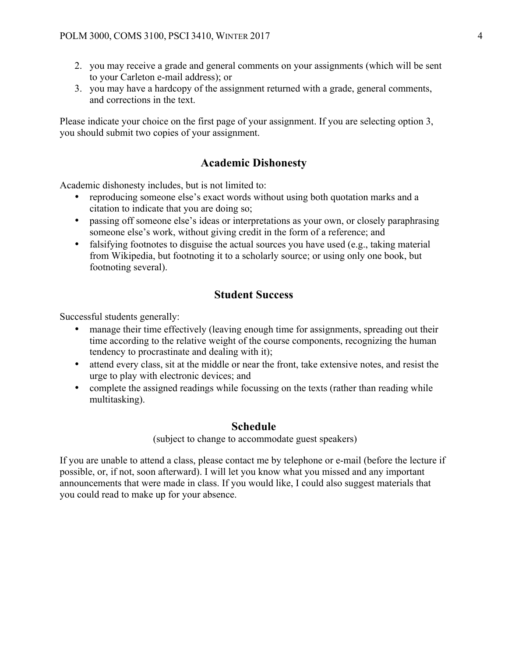- 2. you may receive a grade and general comments on your assignments (which will be sent to your Carleton e-mail address); or
- 3. you may have a hardcopy of the assignment returned with a grade, general comments, and corrections in the text.

Please indicate your choice on the first page of your assignment. If you are selecting option 3, you should submit two copies of your assignment.

# **Academic Dishonesty**

Academic dishonesty includes, but is not limited to:

- reproducing someone else's exact words without using both quotation marks and a citation to indicate that you are doing so;
- passing off someone else's ideas or interpretations as your own, or closely paraphrasing someone else's work, without giving credit in the form of a reference; and
- falsifying footnotes to disguise the actual sources you have used (e.g., taking material from Wikipedia, but footnoting it to a scholarly source; or using only one book, but footnoting several).

# **Student Success**

Successful students generally:

- manage their time effectively (leaving enough time for assignments, spreading out their time according to the relative weight of the course components, recognizing the human tendency to procrastinate and dealing with it);
- attend every class, sit at the middle or near the front, take extensive notes, and resist the urge to play with electronic devices; and
- complete the assigned readings while focussing on the texts (rather than reading while multitasking).

#### **Schedule**

(subject to change to accommodate guest speakers)

If you are unable to attend a class, please contact me by telephone or e-mail (before the lecture if possible, or, if not, soon afterward). I will let you know what you missed and any important announcements that were made in class. If you would like, I could also suggest materials that you could read to make up for your absence.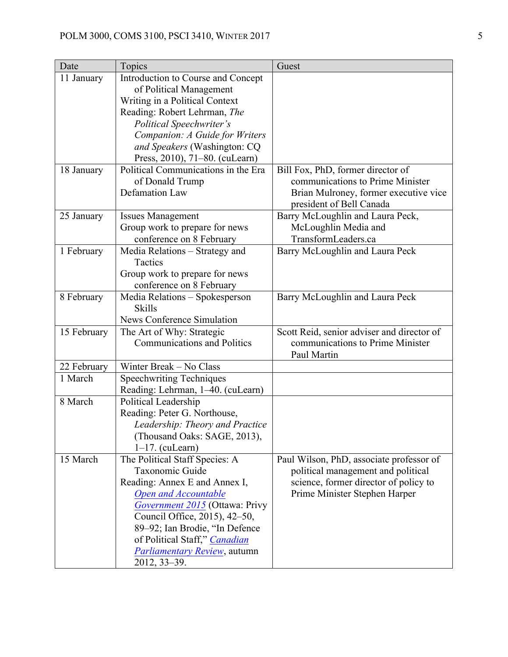| Date        | Topics                                                          | Guest                                                                          |
|-------------|-----------------------------------------------------------------|--------------------------------------------------------------------------------|
| 11 January  | Introduction to Course and Concept                              |                                                                                |
|             | of Political Management                                         |                                                                                |
|             | Writing in a Political Context                                  |                                                                                |
|             | Reading: Robert Lehrman, The                                    |                                                                                |
|             | <b>Political Speechwriter's</b>                                 |                                                                                |
|             | Companion: A Guide for Writers                                  |                                                                                |
|             | and Speakers (Washington: CQ                                    |                                                                                |
|             | Press, 2010), 71-80. (cuLearn)                                  |                                                                                |
| 18 January  | Political Communications in the Era                             | Bill Fox, PhD, former director of                                              |
|             | of Donald Trump                                                 | communications to Prime Minister                                               |
|             | <b>Defamation Law</b>                                           | Brian Mulroney, former executive vice                                          |
|             |                                                                 | president of Bell Canada                                                       |
| 25 January  | <b>Issues Management</b>                                        | Barry McLoughlin and Laura Peck,                                               |
|             | Group work to prepare for news                                  | McLoughlin Media and                                                           |
|             | conference on 8 February                                        | TransformLeaders.ca                                                            |
| 1 February  | Media Relations - Strategy and                                  | Barry McLoughlin and Laura Peck                                                |
|             | Tactics                                                         |                                                                                |
|             | Group work to prepare for news                                  |                                                                                |
|             | conference on 8 February                                        |                                                                                |
| 8 February  | Media Relations - Spokesperson                                  | Barry McLoughlin and Laura Peck                                                |
|             | <b>Skills</b>                                                   |                                                                                |
|             | News Conference Simulation                                      |                                                                                |
| 15 February | The Art of Why: Strategic<br><b>Communications and Politics</b> | Scott Reid, senior adviser and director of<br>communications to Prime Minister |
|             |                                                                 | Paul Martin                                                                    |
| 22 February | Winter Break - No Class                                         |                                                                                |
| 1 March     | <b>Speechwriting Techniques</b>                                 |                                                                                |
|             | Reading: Lehrman, 1-40. (cuLearn)                               |                                                                                |
| 8 March     | Political Leadership                                            |                                                                                |
|             | Reading: Peter G. Northouse,                                    |                                                                                |
|             | Leadership: Theory and Practice                                 |                                                                                |
|             | (Thousand Oaks: SAGE, 2013),                                    |                                                                                |
|             | $1-17$ . (cuLearn)                                              |                                                                                |
| 15 March    | The Political Staff Species: A                                  | Paul Wilson, PhD, associate professor of                                       |
|             | Taxonomic Guide                                                 | political management and political                                             |
|             | Reading: Annex E and Annex I,                                   | science, former director of policy to                                          |
|             | <b>Open and Accountable</b>                                     | Prime Minister Stephen Harper                                                  |
|             | <i>Government 2015</i> (Ottawa: Privy                           |                                                                                |
|             | Council Office, 2015), 42–50,                                   |                                                                                |
|             | 89–92; Ian Brodie, "In Defence                                  |                                                                                |
|             | of Political Staff," Canadian                                   |                                                                                |
|             | <b>Parliamentary Review</b> , autumn                            |                                                                                |
|             | 2012, 33–39.                                                    |                                                                                |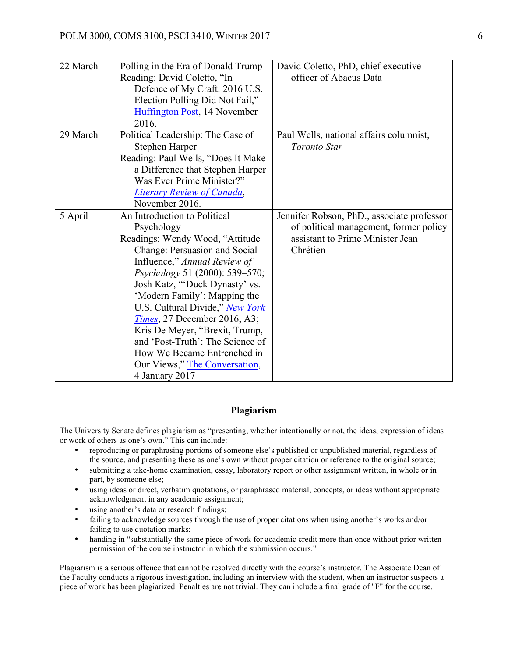| 22 March | Polling in the Era of Donald Trump<br>Reading: David Coletto, "In<br>Defence of My Craft: 2016 U.S.<br>Election Polling Did Not Fail,"<br>Huffington Post, 14 November<br>2016.                                                                                                                                                                                                                                                                                                      | David Coletto, PhD, chief executive<br>officer of Abacus Data                                                                        |
|----------|--------------------------------------------------------------------------------------------------------------------------------------------------------------------------------------------------------------------------------------------------------------------------------------------------------------------------------------------------------------------------------------------------------------------------------------------------------------------------------------|--------------------------------------------------------------------------------------------------------------------------------------|
| 29 March | Political Leadership: The Case of<br>Stephen Harper<br>Reading: Paul Wells, "Does It Make<br>a Difference that Stephen Harper<br>Was Ever Prime Minister?"<br><b>Literary Review of Canada,</b><br>November 2016.                                                                                                                                                                                                                                                                    | Paul Wells, national affairs columnist,<br>Toronto Star                                                                              |
| 5 April  | An Introduction to Political<br>Psychology<br>Readings: Wendy Wood, "Attitude<br>Change: Persuasion and Social<br>Influence," Annual Review of<br>Psychology 51 (2000): 539–570;<br>Josh Katz, "Duck Dynasty' vs.<br>'Modern Family': Mapping the<br>U.S. Cultural Divide," New York<br><i>Times</i> , 27 December 2016, A3;<br>Kris De Meyer, "Brexit, Trump,<br>and 'Post-Truth': The Science of<br>How We Became Entrenched in<br>Our Views," The Conversation,<br>4 January 2017 | Jennifer Robson, PhD., associate professor<br>of political management, former policy<br>assistant to Prime Minister Jean<br>Chrétien |

#### **Plagiarism**

The University Senate defines plagiarism as "presenting, whether intentionally or not, the ideas, expression of ideas or work of others as one's own." This can include:

- reproducing or paraphrasing portions of someone else's published or unpublished material, regardless of the source, and presenting these as one's own without proper citation or reference to the original source;
- submitting a take-home examination, essay, laboratory report or other assignment written, in whole or in part, by someone else;
- using ideas or direct, verbatim quotations, or paraphrased material, concepts, or ideas without appropriate acknowledgment in any academic assignment;
- using another's data or research findings;
- failing to acknowledge sources through the use of proper citations when using another's works and/or failing to use quotation marks;
- handing in "substantially the same piece of work for academic credit more than once without prior written permission of the course instructor in which the submission occurs."

Plagiarism is a serious offence that cannot be resolved directly with the course's instructor. The Associate Dean of the Faculty conducts a rigorous investigation, including an interview with the student, when an instructor suspects a piece of work has been plagiarized. Penalties are not trivial. They can include a final grade of "F" for the course.